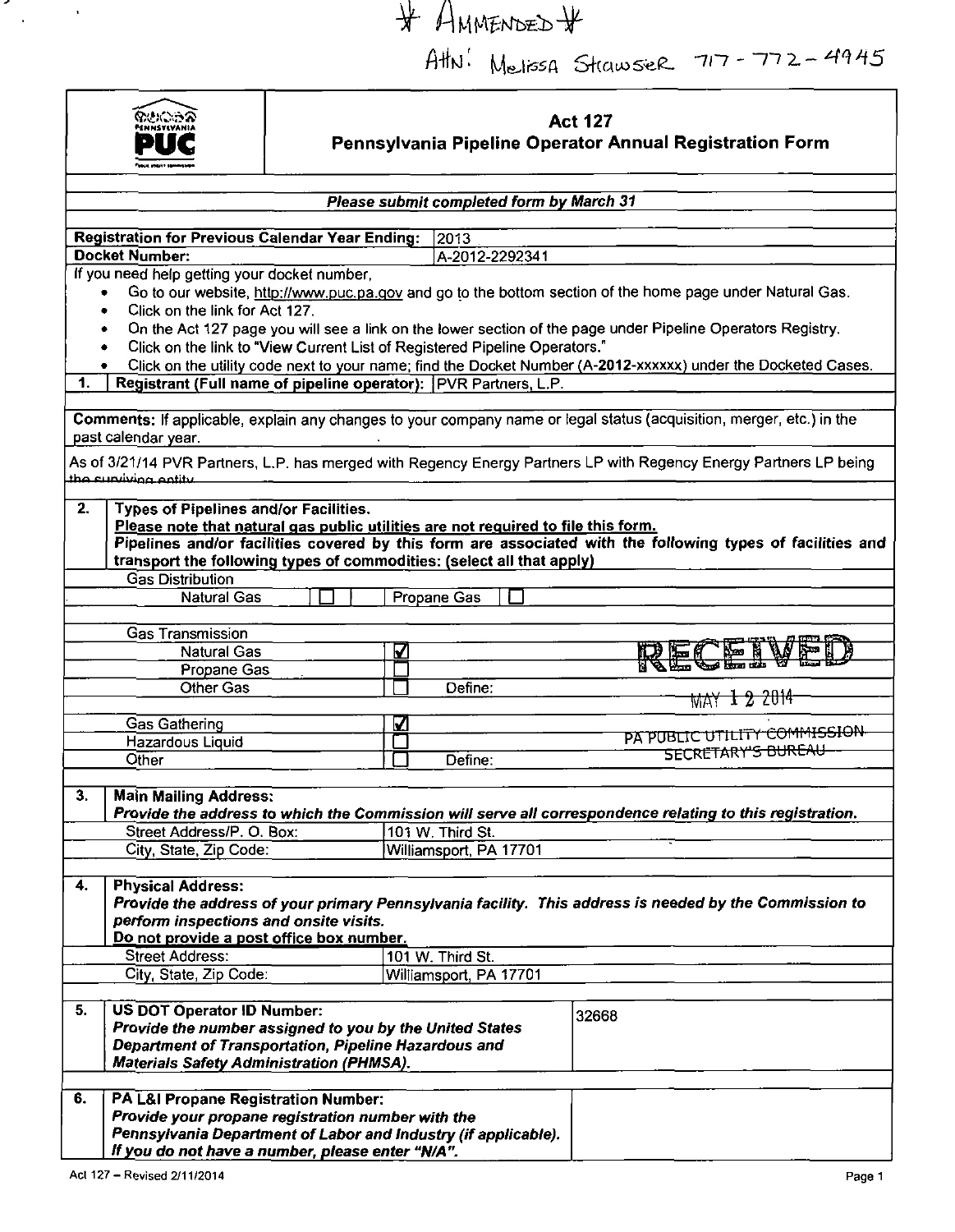$#$  AMMENDED  $#$ 

 $A$ thu: Melissa Strawser  $717 - 772 - 4945$ 



 $\overline{\phantom{a}}$ 

 $\mathcal{A}$ 

 $\sim$   $\alpha$ 

# **Act 127 Pennsylvania Pipeline Operator Annual Registration Form**

| Please submit completed form by March 31 |                                                                                                             |   |                        |  |                                                                                                                      |  |  |  |
|------------------------------------------|-------------------------------------------------------------------------------------------------------------|---|------------------------|--|----------------------------------------------------------------------------------------------------------------------|--|--|--|
|                                          |                                                                                                             |   |                        |  |                                                                                                                      |  |  |  |
|                                          | <b>Registration for Previous Calendar Year Ending:</b>                                                      |   | 2013                   |  |                                                                                                                      |  |  |  |
|                                          | Docket Number:                                                                                              |   | A-2012-2292341         |  |                                                                                                                      |  |  |  |
|                                          | If you need help getting your docket number,                                                                |   |                        |  |                                                                                                                      |  |  |  |
|                                          |                                                                                                             |   |                        |  | Go to our website, http://www.puc.pa.gov and go to the bottom section of the home page under Natural Gas.            |  |  |  |
|                                          | Click on the link for Act 127.<br>٠                                                                         |   |                        |  |                                                                                                                      |  |  |  |
|                                          | On the Act 127 page you will see a link on the lower section of the page under Pipeline Operators Registry. |   |                        |  |                                                                                                                      |  |  |  |
|                                          | Click on the link to "View Current List of Registered Pipeline Operators."                                  |   |                        |  |                                                                                                                      |  |  |  |
|                                          |                                                                                                             |   |                        |  | Click on the utility code next to your name; find the Docket Number (A-2012-xxxxxx) under the Docketed Cases.        |  |  |  |
| 1.                                       | Registrant (Full name of pipeline operator): PVR Partners, L.P.                                             |   |                        |  |                                                                                                                      |  |  |  |
|                                          |                                                                                                             |   |                        |  |                                                                                                                      |  |  |  |
|                                          |                                                                                                             |   |                        |  | Comments: If applicable, explain any changes to your company name or legal status (acquisition, merger, etc.) in the |  |  |  |
|                                          | past calendar year.                                                                                         |   |                        |  |                                                                                                                      |  |  |  |
|                                          |                                                                                                             |   |                        |  | As of 3/21/14 PVR Partners, L.P. has merged with Regency Energy Partners LP with Regency Energy Partners LP being    |  |  |  |
|                                          | the cupilities entity                                                                                       |   |                        |  |                                                                                                                      |  |  |  |
| 2.                                       | <b>Types of Pipelines and/or Facilities.</b>                                                                |   |                        |  |                                                                                                                      |  |  |  |
|                                          | Please note that natural gas public utilities are not required to file this form.                           |   |                        |  |                                                                                                                      |  |  |  |
|                                          |                                                                                                             |   |                        |  | Pipelines and/or facilities covered by this form are associated with the following types of facilities and           |  |  |  |
|                                          | transport the following types of commodities: (select all that apply)                                       |   |                        |  |                                                                                                                      |  |  |  |
|                                          | <b>Gas Distribution</b>                                                                                     |   |                        |  |                                                                                                                      |  |  |  |
|                                          | <b>Natural Gas</b>                                                                                          |   | Propane Gas            |  |                                                                                                                      |  |  |  |
|                                          |                                                                                                             |   |                        |  |                                                                                                                      |  |  |  |
|                                          | <b>Gas Transmission</b>                                                                                     |   |                        |  |                                                                                                                      |  |  |  |
|                                          | <b>Natural Gas</b>                                                                                          | ☑ |                        |  | 'EN                                                                                                                  |  |  |  |
|                                          | Propane Gas                                                                                                 |   |                        |  |                                                                                                                      |  |  |  |
|                                          | <b>Other Gas</b>                                                                                            |   | Define:                |  |                                                                                                                      |  |  |  |
|                                          |                                                                                                             |   |                        |  | <u>MAY 1 2 2014</u>                                                                                                  |  |  |  |
|                                          | <b>Gas Gathering</b>                                                                                        | ☑ |                        |  |                                                                                                                      |  |  |  |
|                                          | Hazardous Liquid                                                                                            |   |                        |  | PA PUBLIC UTILITY COMMISSION                                                                                         |  |  |  |
|                                          | Other                                                                                                       |   | Define:                |  | SECRETARY'S BUREAU                                                                                                   |  |  |  |
|                                          |                                                                                                             |   |                        |  |                                                                                                                      |  |  |  |
| 3.                                       | <b>Main Mailing Address:</b>                                                                                |   |                        |  |                                                                                                                      |  |  |  |
|                                          |                                                                                                             |   |                        |  | Provide the address to which the Commission will serve all correspondence relating to this registration.             |  |  |  |
|                                          | Street Address/P. O. Box:                                                                                   |   | 101 W. Third St.       |  |                                                                                                                      |  |  |  |
|                                          | City, State, Zip Code:                                                                                      |   | Williamsport, PA 17701 |  |                                                                                                                      |  |  |  |
|                                          |                                                                                                             |   |                        |  |                                                                                                                      |  |  |  |
| 4.                                       | <b>Physical Address:</b>                                                                                    |   |                        |  |                                                                                                                      |  |  |  |
|                                          |                                                                                                             |   |                        |  | Provide the address of your primary Pennsylvania facility. This address is needed by the Commission to               |  |  |  |
|                                          | perform inspections and onsite visits.                                                                      |   |                        |  |                                                                                                                      |  |  |  |
|                                          | Do not provide a post office box number.                                                                    |   |                        |  |                                                                                                                      |  |  |  |
|                                          | <b>Street Address:</b>                                                                                      |   | 101 W. Third St.       |  |                                                                                                                      |  |  |  |
|                                          | City, State, Zip Code:                                                                                      |   | Williamsport, PA 17701 |  |                                                                                                                      |  |  |  |
|                                          |                                                                                                             |   |                        |  |                                                                                                                      |  |  |  |
| 5.                                       | <b>US DOT Operator ID Number:</b>                                                                           |   |                        |  | 32668                                                                                                                |  |  |  |
|                                          | Provide the number assigned to you by the United States                                                     |   |                        |  |                                                                                                                      |  |  |  |
|                                          | Department of Transportation, Pipeline Hazardous and                                                        |   |                        |  |                                                                                                                      |  |  |  |
|                                          | <b>Materials Safety Administration (PHMSA).</b>                                                             |   |                        |  |                                                                                                                      |  |  |  |
| 6.                                       | PA L&I Propane Registration Number:                                                                         |   |                        |  |                                                                                                                      |  |  |  |
|                                          | Provide your propane registration number with the                                                           |   |                        |  |                                                                                                                      |  |  |  |
|                                          | Pennsylvania Department of Labor and Industry (if applicable).                                              |   |                        |  |                                                                                                                      |  |  |  |
|                                          | If you do not have a number, please enter "N/A".                                                            |   |                        |  |                                                                                                                      |  |  |  |
|                                          |                                                                                                             |   |                        |  |                                                                                                                      |  |  |  |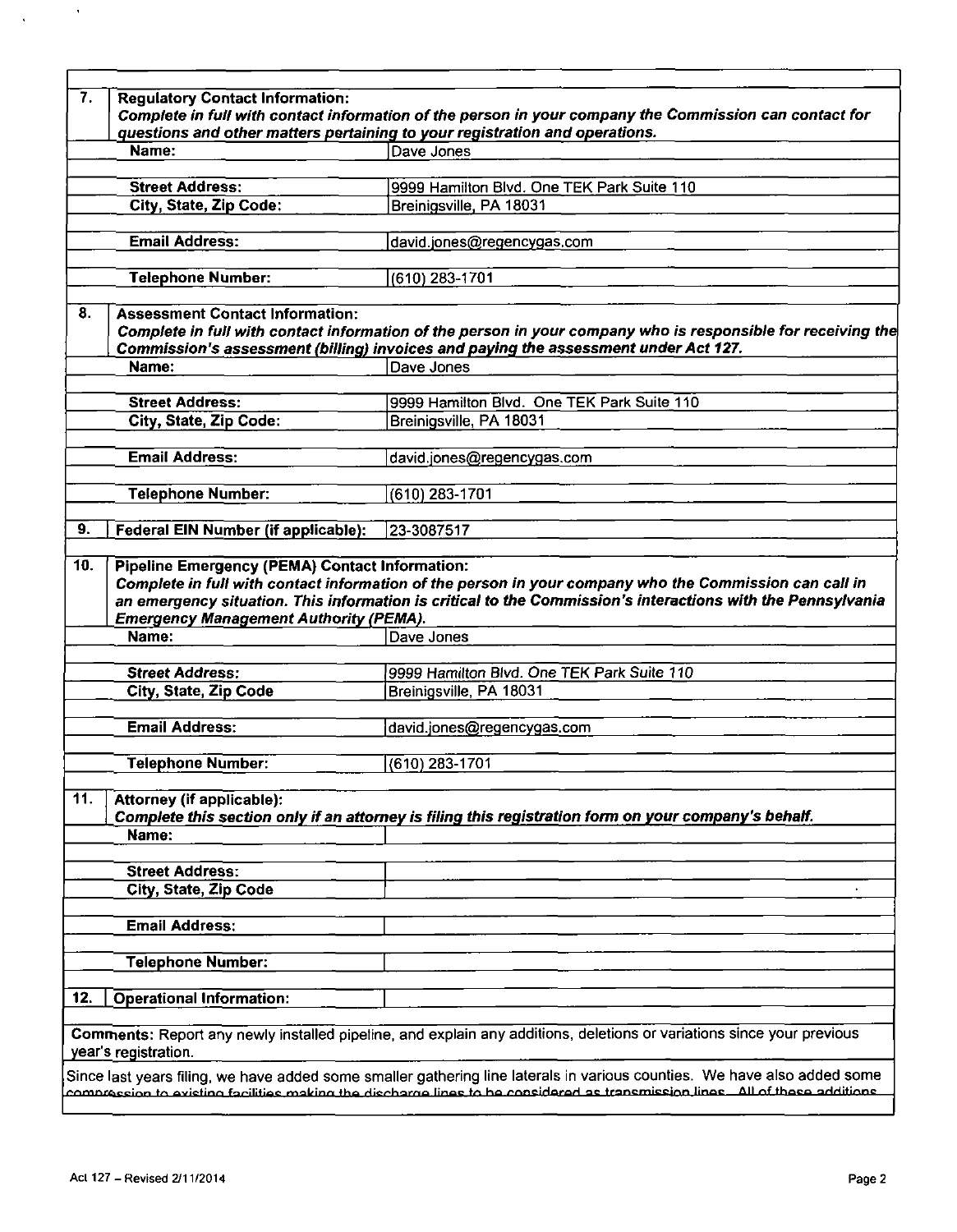|                                                                                                                                                      | questions and other matters pertaining to your registration and operations.                                                                                                                                                         |
|------------------------------------------------------------------------------------------------------------------------------------------------------|-------------------------------------------------------------------------------------------------------------------------------------------------------------------------------------------------------------------------------------|
| Name:                                                                                                                                                | Dave Jones                                                                                                                                                                                                                          |
| <b>Street Address:</b>                                                                                                                               | 9999 Hamilton Blvd. One TEK Park Suite 110                                                                                                                                                                                          |
| City, State, Zip Code:                                                                                                                               | Breinigsville, PA 18031                                                                                                                                                                                                             |
| <b>Email Address:</b>                                                                                                                                | david.jones@regencygas.com                                                                                                                                                                                                          |
| <b>Telephone Number:</b>                                                                                                                             | (610) 283-1701                                                                                                                                                                                                                      |
|                                                                                                                                                      |                                                                                                                                                                                                                                     |
| <b>Assessment Contact Information:</b>                                                                                                               | Complete in full with contact information of the person in your company who is responsible for receiving the<br>Commission's assessment (billing) invoices and paying the assessment under Act 127.                                 |
| Name:                                                                                                                                                | Dave Jones                                                                                                                                                                                                                          |
| <b>Street Address:</b>                                                                                                                               | 9999 Hamilton Blvd. One TEK Park Suite 110                                                                                                                                                                                          |
| City, State, Zip Code:                                                                                                                               | Breinigsville, PA 18031                                                                                                                                                                                                             |
| Email Address:                                                                                                                                       | david.jones@regencygas.com                                                                                                                                                                                                          |
|                                                                                                                                                      |                                                                                                                                                                                                                                     |
| <b>Telephone Number:</b>                                                                                                                             | (610) 283-1701                                                                                                                                                                                                                      |
|                                                                                                                                                      |                                                                                                                                                                                                                                     |
| <b>Federal EIN Number (if applicable):</b><br><b>Pipeline Emergency (PEMA) Contact Information:</b><br><b>Emergency Management Authority (PEMA).</b> | 23-3087517<br>Complete in full with contact information of the person in your company who the Commission can call in<br>an emergency situation. This information is critical to the Commission's interactions with the Pennsylvania |
| 10.<br>Name:                                                                                                                                         | Dave Jones                                                                                                                                                                                                                          |
| <b>Street Address:</b>                                                                                                                               | 9999 Hamilton Blvd. One TEK Park Suite 110                                                                                                                                                                                          |
| City, State, Zip Code                                                                                                                                | Breinigsville, PA 18031                                                                                                                                                                                                             |
| <b>Email Address:</b>                                                                                                                                | david.jones@regencygas.com                                                                                                                                                                                                          |
| <b>Telephone Number:</b>                                                                                                                             | $(610)$ 283-1701                                                                                                                                                                                                                    |
|                                                                                                                                                      |                                                                                                                                                                                                                                     |
| <b>Attorney (if applicable):</b>                                                                                                                     | Complete this section only if an attorney is filing this registration form on your company's behalf.                                                                                                                                |
| Name:                                                                                                                                                |                                                                                                                                                                                                                                     |
| <b>Street Address:</b>                                                                                                                               |                                                                                                                                                                                                                                     |
| City, State, Zip Code                                                                                                                                |                                                                                                                                                                                                                                     |
| <b>Email Address:</b>                                                                                                                                |                                                                                                                                                                                                                                     |
| <b>Telephone Number:</b>                                                                                                                             |                                                                                                                                                                                                                                     |
|                                                                                                                                                      |                                                                                                                                                                                                                                     |
| <b>Operational Information:</b>                                                                                                                      | Comments: Report any newly installed pipeline, and explain any additions, deletions or variations since your previous                                                                                                               |

 $\bar{\phantom{a}}$ 

 $\ddot{\phantom{a}}$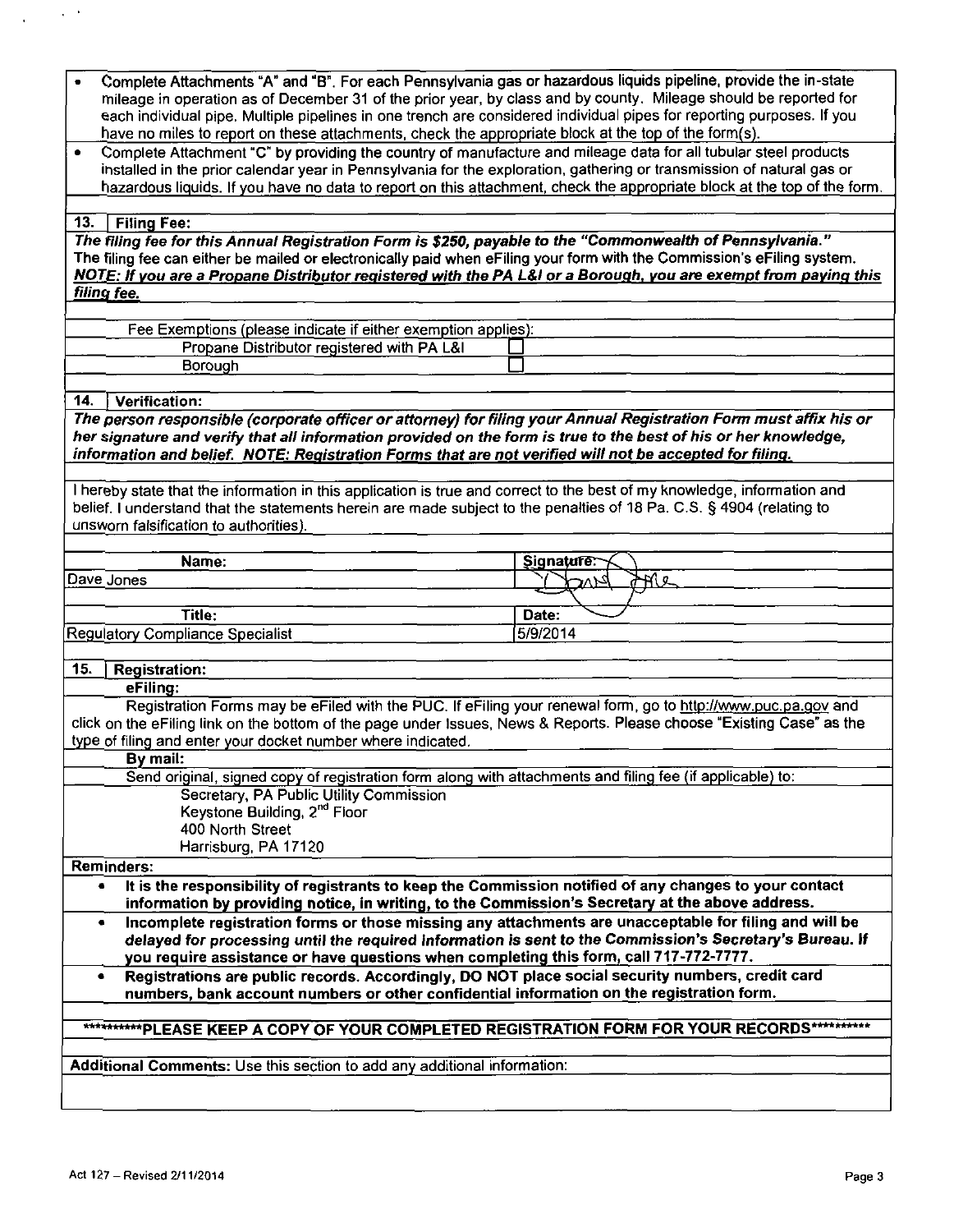| Complete Attachments "A" and "B". For each Pennsylvania gas or hazardous liquids pipeline, provide the in-state<br>mileage in operation as of December 31 of the prior year, by class and by county. Mileage should be reported for<br>each individual pipe. Multiple pipelines in one trench are considered individual pipes for reporting purposes. If you<br>have no miles to report on these attachments, check the appropriate block at the top of the form(s). |                    |  |  |  |  |  |
|----------------------------------------------------------------------------------------------------------------------------------------------------------------------------------------------------------------------------------------------------------------------------------------------------------------------------------------------------------------------------------------------------------------------------------------------------------------------|--------------------|--|--|--|--|--|
| Complete Attachment "C" by providing the country of manufacture and mileage data for all tubular steel products<br>٠<br>installed in the prior calendar year in Pennsylvania for the exploration, gathering or transmission of natural gas or<br>hazardous liquids. If you have no data to report on this attachment, check the appropriate block at the top of the form.                                                                                            |                    |  |  |  |  |  |
| 13.<br><b>Filing Fee:</b>                                                                                                                                                                                                                                                                                                                                                                                                                                            |                    |  |  |  |  |  |
| "The filing fee for this Annual Registration Form is \$250, payable to the "Commonwealth of Pennsylvania."                                                                                                                                                                                                                                                                                                                                                           |                    |  |  |  |  |  |
| The filing fee can either be mailed or electronically paid when eFiling your form with the Commission's eFiling system.<br>NOTE: If you are a Propane Distributor registered with the PA L&I or a Borough, you are exempt from paying this                                                                                                                                                                                                                           |                    |  |  |  |  |  |
| filing fee.                                                                                                                                                                                                                                                                                                                                                                                                                                                          |                    |  |  |  |  |  |
| Fee Exemptions (please indicate if either exemption applies):                                                                                                                                                                                                                                                                                                                                                                                                        |                    |  |  |  |  |  |
| Propane Distributor registered with PA L&I                                                                                                                                                                                                                                                                                                                                                                                                                           |                    |  |  |  |  |  |
| Borough                                                                                                                                                                                                                                                                                                                                                                                                                                                              |                    |  |  |  |  |  |
| Verification:<br>14.                                                                                                                                                                                                                                                                                                                                                                                                                                                 |                    |  |  |  |  |  |
| The person responsible (corporate officer or attorney) for filing your Annual Registration Form must affix his or<br>her signature and verify that all information provided on the form is true to the best of his or her knowledge,<br>information and belief. NOTE: Registration Forms that are not verified will not be accepted for filing.                                                                                                                      |                    |  |  |  |  |  |
| I hereby state that the information in this application is true and correct to the best of my knowledge, information and<br>belief. I understand that the statements herein are made subject to the penalties of 18 Pa. C.S. § 4904 (relating to<br>unsworn falsification to authorities).                                                                                                                                                                           |                    |  |  |  |  |  |
| Name:                                                                                                                                                                                                                                                                                                                                                                                                                                                                | Signature:         |  |  |  |  |  |
| Dave Jones                                                                                                                                                                                                                                                                                                                                                                                                                                                           | <u>anc</u><br>ک{∨د |  |  |  |  |  |
|                                                                                                                                                                                                                                                                                                                                                                                                                                                                      |                    |  |  |  |  |  |
|                                                                                                                                                                                                                                                                                                                                                                                                                                                                      |                    |  |  |  |  |  |
| Title:                                                                                                                                                                                                                                                                                                                                                                                                                                                               | Date:              |  |  |  |  |  |
| Regulatory Compliance Specialist                                                                                                                                                                                                                                                                                                                                                                                                                                     | 5/9/2014           |  |  |  |  |  |
| 15.<br><b>Registration:</b>                                                                                                                                                                                                                                                                                                                                                                                                                                          |                    |  |  |  |  |  |
| eFiling:                                                                                                                                                                                                                                                                                                                                                                                                                                                             |                    |  |  |  |  |  |
| Registration Forms may be eFiled with the PUC. If eFiling your renewal form, go to http://www.puc.pa.gov and<br>click on the eFiling link on the bottom of the page under Issues, News & Reports. Please choose "Existing Case" as the<br>type of filing and enter your docket number where indicated.                                                                                                                                                               |                    |  |  |  |  |  |
| By mail:                                                                                                                                                                                                                                                                                                                                                                                                                                                             |                    |  |  |  |  |  |
| Send original, signed copy of registration form along with attachments and filing fee (if applicable) to:<br>Secretary, PA Public Utility Commission                                                                                                                                                                                                                                                                                                                 |                    |  |  |  |  |  |
| Keystone Building, 2 <sup>nd</sup> Floor                                                                                                                                                                                                                                                                                                                                                                                                                             |                    |  |  |  |  |  |
| 400 North Street                                                                                                                                                                                                                                                                                                                                                                                                                                                     |                    |  |  |  |  |  |
| Harrisburg, PA 17120                                                                                                                                                                                                                                                                                                                                                                                                                                                 |                    |  |  |  |  |  |
| <b>Reminders:</b><br>It is the responsibility of registrants to keep the Commission notified of any changes to your contact<br>٠                                                                                                                                                                                                                                                                                                                                     |                    |  |  |  |  |  |
| information by providing notice, in writing, to the Commission's Secretary at the above address.                                                                                                                                                                                                                                                                                                                                                                     |                    |  |  |  |  |  |
| Incomplete registration forms or those missing any attachments are unacceptable for filing and will be<br>٠<br>delayed for processing until the required information is sent to the Commission's Secretary's Bureau. If<br>you require assistance or have questions when completing this form, call 717-772-7777.                                                                                                                                                    |                    |  |  |  |  |  |
| Registrations are public records. Accordingly, DO NOT place social security numbers, credit card<br>٠<br>numbers, bank account numbers or other confidential information on the registration form.                                                                                                                                                                                                                                                                   |                    |  |  |  |  |  |
| ***********PLEASE KEEP A COPY OF YOUR COMPLETED REGISTRATION FORM FOR YOUR RECORDS***********                                                                                                                                                                                                                                                                                                                                                                        |                    |  |  |  |  |  |
|                                                                                                                                                                                                                                                                                                                                                                                                                                                                      |                    |  |  |  |  |  |
| Additional Comments: Use this section to add any additional information:                                                                                                                                                                                                                                                                                                                                                                                             |                    |  |  |  |  |  |

 $\chi_{\rm c} = 0.08$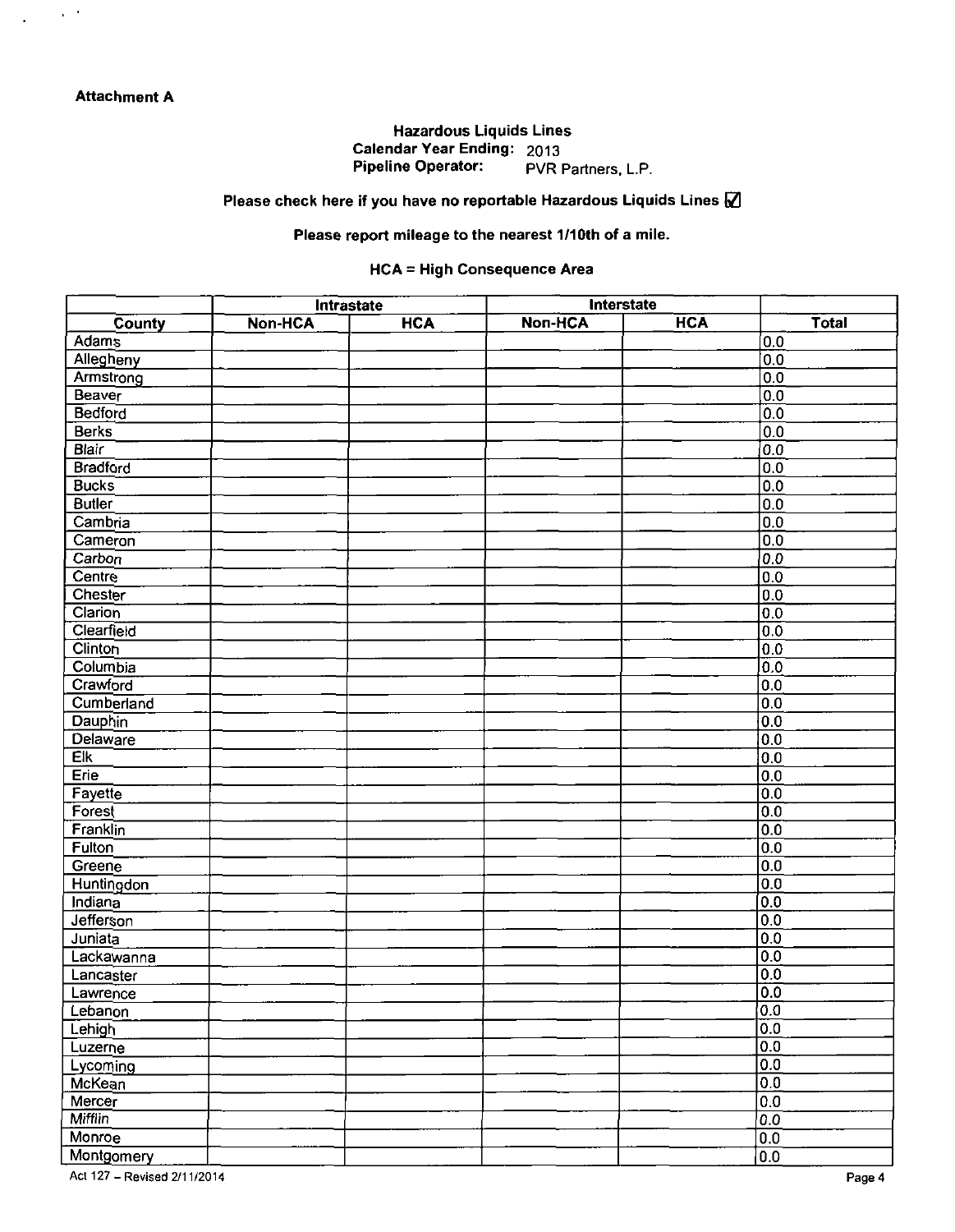$\chi$  ,  $\chi$ 

J.

## Hazardous Liquids Lines Calendar Year Ending: 2013 Pipeline Operator: PVR Partners, L.P.

## **Please check here if you have no reportable Hazardous Liquids Lines**  $\mathbb{Z}$

# Please report mileage to the nearest 1/10th of a mile.

### **HCA = High Consequence Area**

|                  | <b>Intrastate</b> |            | <b>Interstate</b> |            |                  |
|------------------|-------------------|------------|-------------------|------------|------------------|
| County           | <b>Non-HCA</b>    | <b>HCA</b> | <b>Non-HCA</b>    | <b>HCA</b> | Total            |
| Adams            |                   |            |                   |            | 0.0              |
| Allegheny        |                   |            |                   |            | 0.0              |
| Armstrong        |                   |            |                   |            | $\overline{0.0}$ |
| <b>Beaver</b>    |                   |            |                   |            | 0.0              |
| Bedford          |                   |            |                   |            | 0.0              |
| Berks            |                   |            |                   |            | 0.0              |
| <b>Blair</b>     |                   |            |                   |            | 0.0              |
| <b>Bradford</b>  |                   |            |                   |            | 0.0              |
| <b>Bucks</b>     |                   |            |                   |            | 0.0              |
| <b>Butler</b>    |                   |            |                   |            | 0.0              |
| Cambria          |                   |            |                   |            | 0.0              |
| Cameron          |                   |            |                   |            | 0.0              |
| Carbon           |                   |            |                   |            | 0.0              |
| Centre           |                   |            |                   |            | 0.0              |
| Chester          |                   |            |                   |            | 0.0              |
| Clarion          |                   |            |                   |            | 0.0              |
| Clearfield       |                   |            |                   |            | 0.0              |
| <b>Clinton</b>   |                   |            |                   |            | 0.0              |
| Columbia         |                   |            |                   |            | $\overline{0.0}$ |
| Crawford         |                   |            |                   |            | 0.0              |
| Cumberland       |                   |            |                   |            | 0.0              |
| <b>Dauphin</b>   |                   |            |                   |            | 0.0              |
| <b>Delaware</b>  |                   |            |                   |            | 0.0              |
| Eik              |                   |            |                   |            | 0.0              |
| Erie             |                   |            |                   |            | 0.0              |
| Fayette          |                   |            |                   |            | 0.0              |
| Forest           |                   |            |                   |            | 0.0              |
| Franklin         |                   |            |                   |            | $\overline{0.0}$ |
| <b>Fulton</b>    |                   |            |                   |            | 0.0              |
| Greene           |                   |            |                   |            | 0.0              |
| Huntingdon       |                   |            |                   |            | 0.0              |
| Indiana          |                   |            |                   |            | 0.0              |
| <b>Jefferson</b> |                   |            |                   |            | 0.0              |
| Juniata          |                   |            |                   |            | $\overline{0.0}$ |
| Lackawanna       |                   |            |                   |            | 0.0              |
| Lancaster        |                   |            |                   |            | 0.0              |
| Lawrence         |                   |            |                   |            | 0.0              |
| Lebanon          |                   |            |                   |            | 0.0              |
| Lehigh           |                   |            |                   |            | 0.0              |
| Luzerne          |                   |            |                   |            | 0.0              |
| Lycoming         |                   |            |                   |            | $\boxed{0.0}$    |
| McKean           |                   |            |                   |            | $\overline{0.0}$ |
| Mercer           |                   |            |                   |            | $\overline{00}$  |
| <b>Mifflin</b>   |                   |            |                   |            | 0.0              |
| Monroe           |                   |            |                   |            | $\overline{0.0}$ |
| Montgomery       |                   |            |                   |            | 0.0              |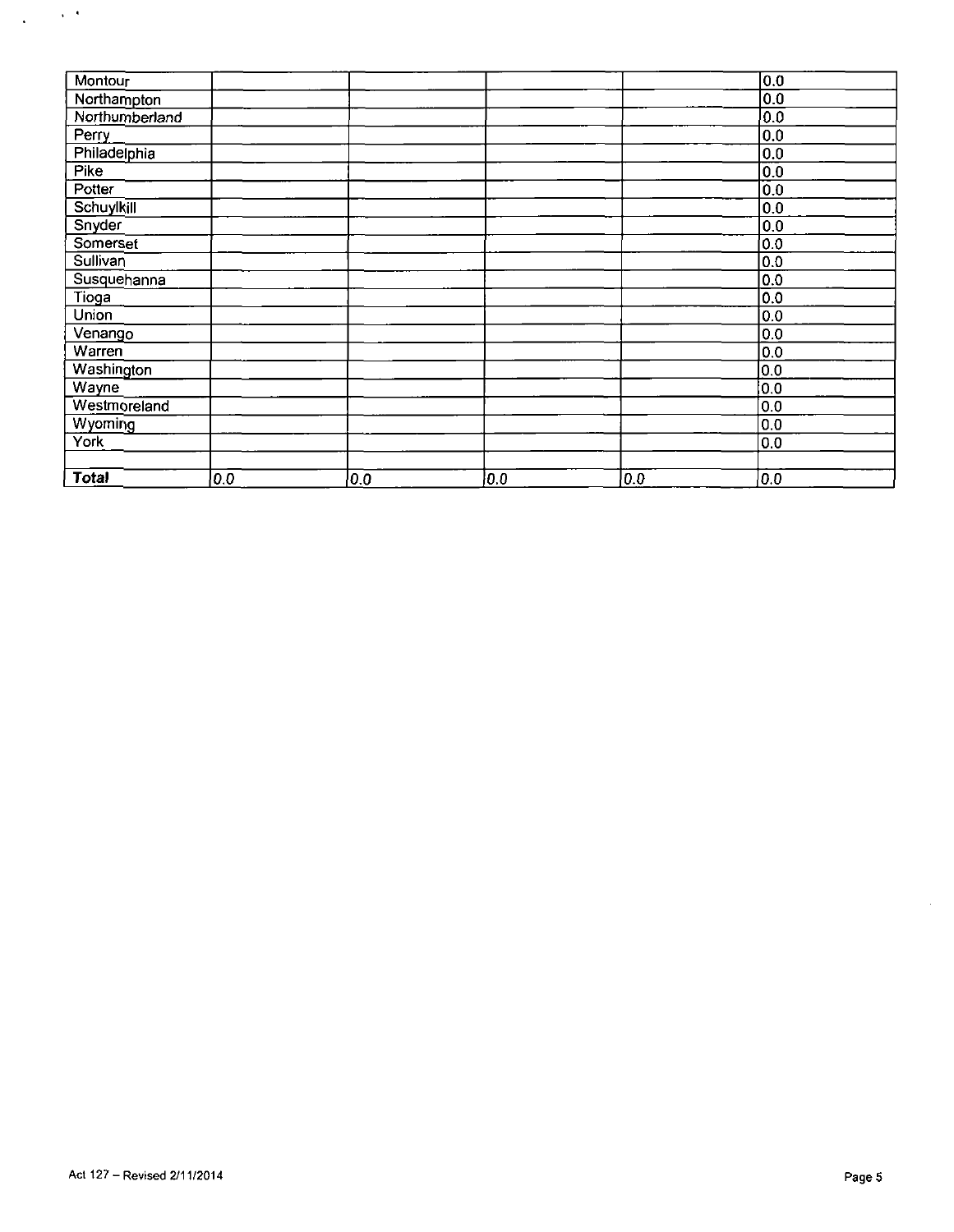| Montour        |     |     |     |     | $\overline{0.0}$ |
|----------------|-----|-----|-----|-----|------------------|
| Northampton    |     |     |     |     | 0.0              |
| Northumberland |     |     |     |     | 0.0              |
| Perry          |     |     |     |     | 0.0              |
| Philadelphia   |     |     |     |     | 0.0              |
| Pike           |     |     |     |     | $\overline{0.0}$ |
| Potter         |     |     |     |     | 0.0              |
| Schuylkill     |     |     |     |     | 0.0              |
| Snyder         |     |     |     |     | 0.0              |
| Somerset       |     |     |     |     | 0.0              |
| Sullivan       |     |     |     |     | $\overline{0.0}$ |
| Susquehanna    |     |     |     |     | 0.0              |
| Tioga          |     |     |     |     | 0.0              |
| Union          |     |     |     |     | 0.0              |
| Venango        |     |     |     |     | 0.0              |
| Warren         |     |     |     |     | 0.0              |
| Washington     |     |     |     |     | 0.0              |
| Wayne          |     |     |     |     | 0.0              |
| Westmoreland   |     |     |     |     | 0.0              |
| Wyoming        |     |     |     |     | 0.0              |
| York           |     |     |     |     | 0.0              |
|                |     |     |     |     |                  |
| Total          | 0.0 | 0.0 | 0.0 | 0.0 | 0.0              |

 $\frac{1}{2}$  ,  $\frac{1}{2}$  ,  $\frac{1}{2}$ 

 $\hat{\mathcal{A}}$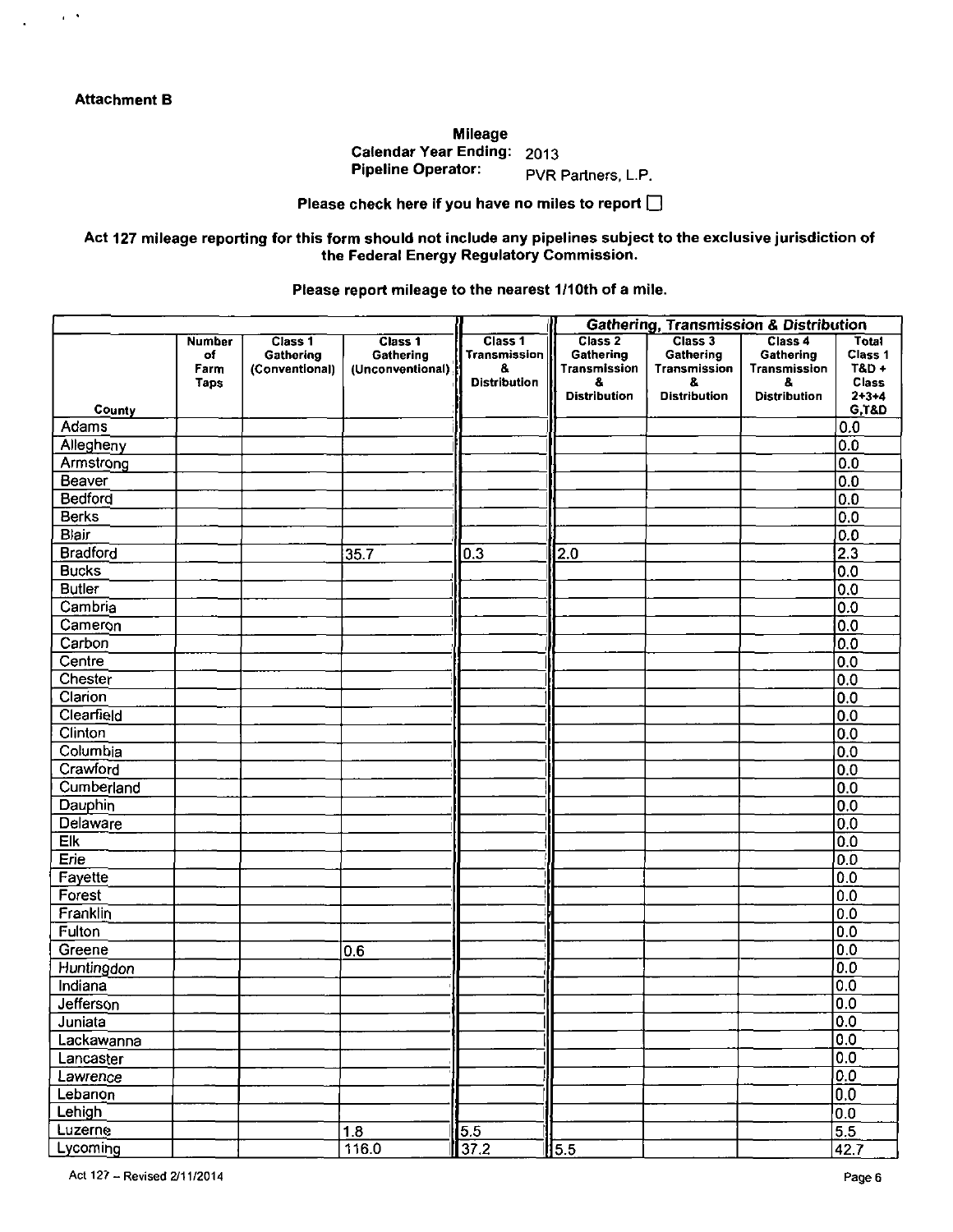$\epsilon$  .  $\delta$ 

**Mileage Calendar Year Ending: 2013 Pipeline Operator:** PVR Partners, L.P.

## **Please check here if you have no miles to report Q**

### **Act 127 mileage reporting for this form should not include any pipelines subject to the exclusive jurisdiction of the Federal Energy Regulatory Commission.**

### **Please report mileage to the nearest 1/10th of a mile.**

|                             |                                            |                                        |                                          | <b>Gathering, Transmission &amp; Distribution</b>           |                                                             |                                            |                                                   |                                             |
|-----------------------------|--------------------------------------------|----------------------------------------|------------------------------------------|-------------------------------------------------------------|-------------------------------------------------------------|--------------------------------------------|---------------------------------------------------|---------------------------------------------|
|                             | <b>Number</b><br>of<br>Farm<br><b>Taps</b> | Class 1<br>Gathering<br>(Conventional) | Class 1<br>Gathering<br>(Unconventional) | Class 1<br><b>Transmission</b><br>8.<br><b>Distribution</b> | Class <sub>2</sub><br>Gathering<br><b>Transmission</b><br>8 | Class 3<br>Gathering<br>Transmission<br>8. | Class 4<br>Gathering<br><b>Transmission</b><br>8. | Total<br>Class 1<br>$TAD +$<br><b>Class</b> |
|                             |                                            |                                        |                                          |                                                             | <b>Distribution</b>                                         | <b>Distribution</b>                        | <b>Distribution</b>                               | $2 + 3 + 4$                                 |
| County<br>Adams             |                                            |                                        |                                          |                                                             |                                                             |                                            |                                                   | <b>G,T&amp;D</b><br>0.0                     |
|                             |                                            |                                        |                                          |                                                             |                                                             |                                            |                                                   | 0.0                                         |
| Allegheny<br>Armstrong      |                                            |                                        |                                          |                                                             |                                                             |                                            |                                                   | $\overline{0.0}$                            |
| Beaver                      |                                            |                                        |                                          |                                                             |                                                             |                                            |                                                   | $\overline{0.0}$                            |
| Bedford                     |                                            |                                        |                                          |                                                             |                                                             |                                            |                                                   | $\overline{0.0}$                            |
| <b>Berks</b>                |                                            |                                        |                                          |                                                             |                                                             |                                            |                                                   | $\overline{0.0}$                            |
| Blair                       |                                            |                                        |                                          |                                                             |                                                             |                                            |                                                   | $\overline{0}$ .0                           |
| <b>Bradford</b>             |                                            |                                        | 35.7                                     | 0.3                                                         | $\overline{2.0}$                                            |                                            |                                                   | $\overline{2.3}$                            |
| <b>Bucks</b>                |                                            |                                        |                                          |                                                             |                                                             |                                            |                                                   | 0.0                                         |
| <b>Butler</b>               |                                            |                                        |                                          |                                                             |                                                             |                                            |                                                   | 0.0                                         |
| Cambria                     |                                            |                                        |                                          |                                                             |                                                             |                                            |                                                   | 0.0                                         |
| Cameron                     |                                            |                                        |                                          |                                                             |                                                             |                                            |                                                   | $\overline{0.0}$                            |
| Carbon                      |                                            |                                        |                                          |                                                             |                                                             |                                            |                                                   | $\overline{0.0}$                            |
| Centre                      |                                            |                                        |                                          |                                                             |                                                             |                                            |                                                   | 0.0                                         |
| Chester                     |                                            |                                        |                                          |                                                             |                                                             |                                            |                                                   | 0.0                                         |
| Clarion                     |                                            |                                        |                                          |                                                             |                                                             |                                            |                                                   | 0.0                                         |
| Clearfield                  |                                            |                                        |                                          |                                                             |                                                             |                                            |                                                   | 0.0                                         |
| Clinton                     |                                            |                                        |                                          |                                                             |                                                             |                                            |                                                   | 0.0                                         |
| Columbia                    |                                            |                                        |                                          |                                                             |                                                             |                                            |                                                   | 0.0                                         |
| Crawford                    |                                            |                                        |                                          |                                                             |                                                             |                                            |                                                   | 0.0                                         |
| Cumberland                  |                                            |                                        |                                          |                                                             |                                                             |                                            |                                                   | 0.0                                         |
| Dauphin                     |                                            |                                        |                                          |                                                             |                                                             |                                            |                                                   | 0.0                                         |
| Delaware                    |                                            |                                        |                                          |                                                             |                                                             |                                            |                                                   | 0.0                                         |
| Elk                         |                                            |                                        |                                          |                                                             |                                                             |                                            |                                                   | $\overline{0.0}$                            |
| Erie                        |                                            |                                        |                                          |                                                             |                                                             |                                            |                                                   | $\overline{0.0}$                            |
| Fayette                     |                                            |                                        |                                          |                                                             |                                                             |                                            |                                                   | 0.0                                         |
| Forest                      |                                            |                                        |                                          |                                                             |                                                             |                                            |                                                   | $\overline{0.0}$                            |
| Franklin                    |                                            |                                        |                                          |                                                             |                                                             |                                            |                                                   | 0.0                                         |
| Fulton                      |                                            |                                        |                                          |                                                             |                                                             |                                            |                                                   | 0.0                                         |
| Greene                      |                                            |                                        | 0.6                                      |                                                             |                                                             |                                            |                                                   | 0.0                                         |
| <b>Huntingdon</b>           |                                            |                                        |                                          |                                                             |                                                             |                                            |                                                   | $\overline{0.0}$                            |
| Indiana                     |                                            |                                        |                                          |                                                             |                                                             |                                            |                                                   | $\overline{0.0}$                            |
| Jefferson                   |                                            |                                        |                                          |                                                             |                                                             |                                            |                                                   | $\overline{0.0}$                            |
| Juniata                     |                                            |                                        |                                          |                                                             |                                                             |                                            |                                                   | 0.0                                         |
| Lackawanna                  |                                            |                                        |                                          |                                                             |                                                             |                                            |                                                   | 0.0                                         |
| Lancaster                   |                                            |                                        |                                          |                                                             |                                                             |                                            |                                                   | $\overline{0.0}$                            |
| Lawrence                    |                                            |                                        |                                          |                                                             |                                                             |                                            |                                                   | 0.0                                         |
| Lebanon                     |                                            |                                        |                                          |                                                             |                                                             |                                            |                                                   | $\overline{0.0}$                            |
| Lehigh                      |                                            |                                        |                                          |                                                             |                                                             |                                            |                                                   | $\overline{0.0}$                            |
| Luzerne                     |                                            |                                        | 1.8                                      | 5.5                                                         |                                                             |                                            |                                                   | $\overline{5.5}$                            |
| Lycoming                    |                                            |                                        | 116.0                                    | $\overline{37.2}$                                           | $\sqrt{5.5}$                                                |                                            |                                                   | 42.7                                        |
| Act 127 - Revised 2/11/2014 |                                            |                                        |                                          |                                                             |                                                             |                                            |                                                   | Page 6                                      |
|                             |                                            |                                        |                                          |                                                             |                                                             |                                            |                                                   |                                             |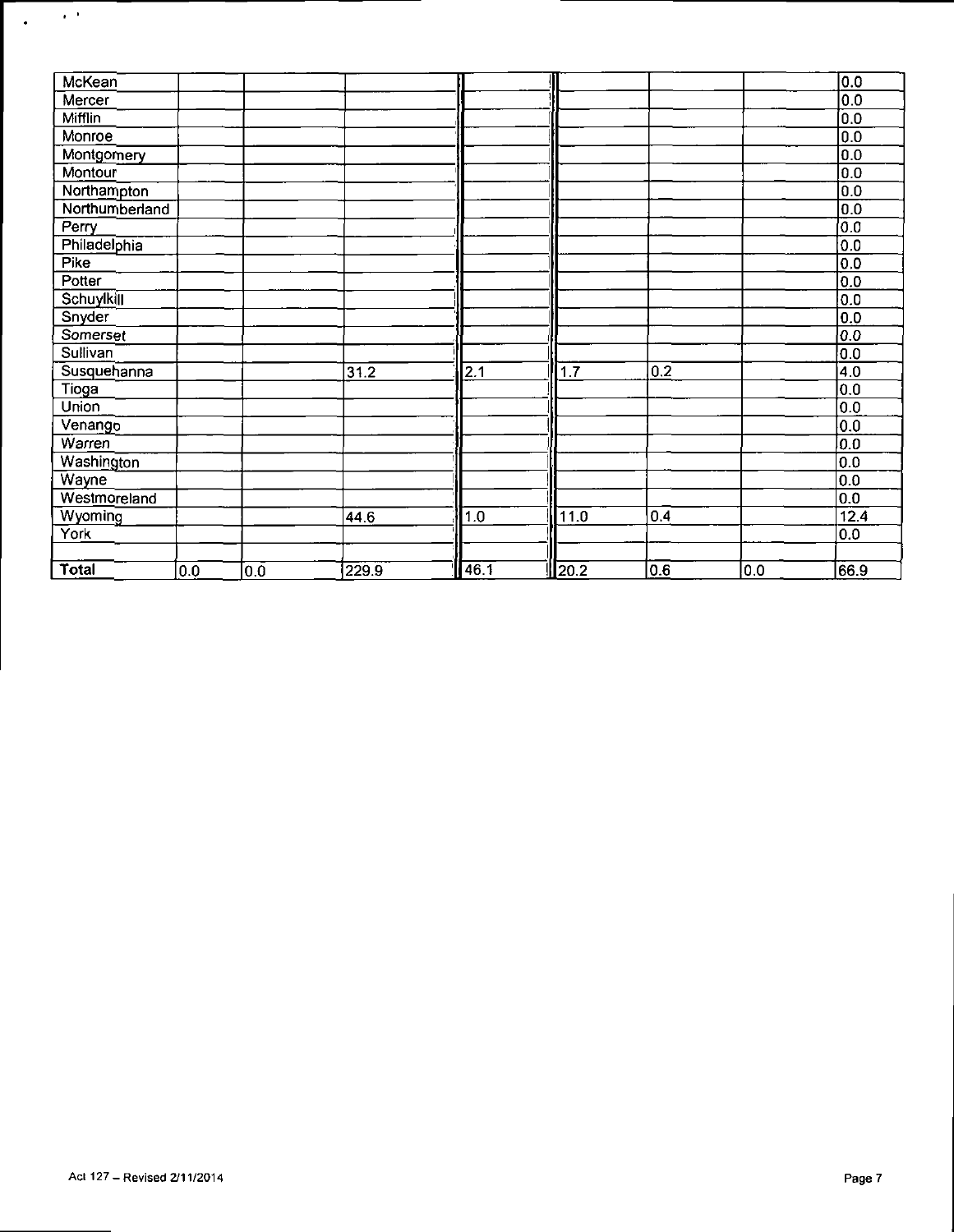| McKean            |     |                  |       |      |               |     |     | 0.0              |
|-------------------|-----|------------------|-------|------|---------------|-----|-----|------------------|
| Mercer            |     |                  |       |      |               |     |     | $\overline{0.0}$ |
| Mifflin           |     |                  |       |      |               |     |     | $\overline{0.0}$ |
| Monroe            |     |                  |       |      |               |     |     | 0.0              |
| Montgomery        |     |                  |       |      |               |     |     | 0.0              |
| Montour           |     |                  |       |      |               |     |     | 0.0              |
| Northampton       |     |                  |       |      |               |     |     | 0.0              |
| Northumberland    |     |                  |       |      |               |     |     | $\overline{0.0}$ |
| Perry             |     |                  |       |      |               |     |     | $\overline{0.0}$ |
| Philadelphia      |     |                  |       |      |               |     |     | 0.0              |
| Pike              |     |                  |       |      |               |     |     | 0.0              |
| Potter            |     |                  |       |      |               |     |     | 0.0              |
| <b>Schuylkill</b> |     |                  |       |      |               |     |     | 0.0              |
| Snyder            |     |                  |       |      |               |     |     | 0.0              |
| Somerset          |     |                  |       |      |               |     |     | 0.0              |
| Sullivan          |     |                  |       |      |               |     |     | 0.0              |
| Susquehanna       |     |                  | 31.2  | 2.1  | 1.7           | 0.2 |     | $\overline{4.0}$ |
| Tioga             |     |                  |       |      |               |     |     | 0.0              |
| Union             |     |                  |       |      |               |     |     | 0.0              |
| Venango           |     |                  |       |      |               |     |     | $\overline{0.0}$ |
| Warren            |     |                  |       |      |               |     |     | 0.0              |
| Washington        |     |                  |       |      |               |     |     | $\overline{0.0}$ |
| Wayne             |     |                  |       |      |               |     |     | 0.0              |
| Westmoreland      |     |                  |       |      |               |     |     | 0.0              |
| Wyoming           |     |                  | 44.6  | 1.0  | 11.0          | 0.4 |     | 12.4             |
| York              |     |                  |       |      |               |     |     | 0.0              |
|                   |     |                  |       |      |               |     |     |                  |
| Total             | 0.0 | $0.\overline{0}$ | 229.9 | 46.1 | $\sqrt{20.2}$ | 0.6 | 0.0 | 66.9             |

 $\frac{1}{2}$  and  $\frac{1}{2}$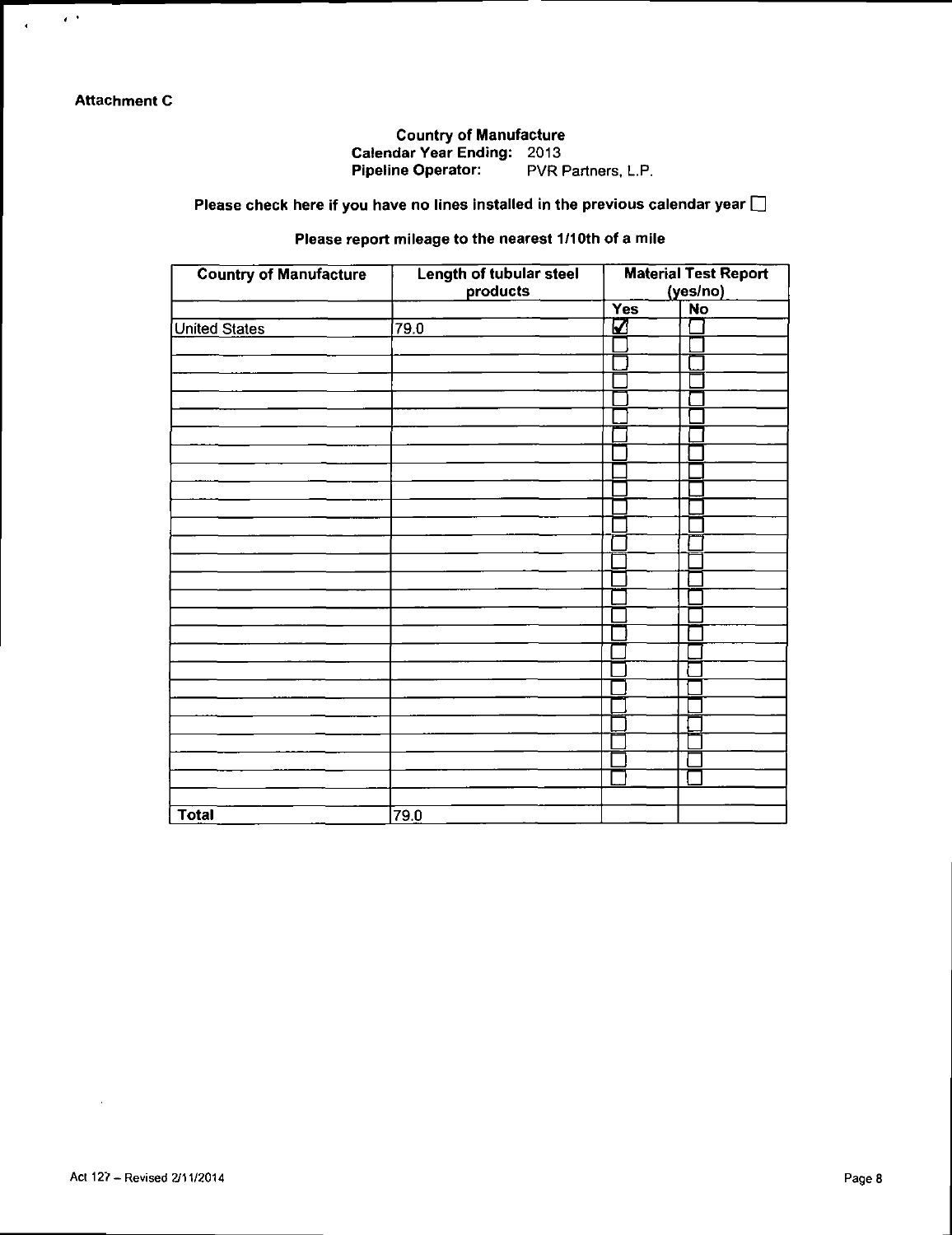$\epsilon$  :

 $\mathbf{A}^{\dagger}$ 

# Country of Manufacture Calendar Year Ending: 2013

Pipeline Operator: PVR Partners, L.P.

Please check here if you have no lines installed in the previous calendar year  $\square$ 

# Please report mileage to the nearest 1/10th of a mile

| <b>Country of Manufacture</b> | Length of tubular steel<br>products | <b>Material Test Report</b><br>(yes/no) |           |  |
|-------------------------------|-------------------------------------|-----------------------------------------|-----------|--|
|                               |                                     | Yes                                     | <b>No</b> |  |
| <b>United States</b>          | 79.0                                | K                                       |           |  |
|                               |                                     |                                         |           |  |
|                               |                                     |                                         |           |  |
|                               |                                     |                                         |           |  |
|                               |                                     |                                         |           |  |
|                               |                                     |                                         |           |  |
|                               |                                     |                                         |           |  |
|                               |                                     |                                         |           |  |
|                               |                                     |                                         |           |  |
|                               |                                     |                                         |           |  |
|                               |                                     |                                         |           |  |
|                               |                                     |                                         |           |  |
|                               |                                     |                                         |           |  |
|                               |                                     |                                         |           |  |
|                               |                                     |                                         |           |  |
|                               |                                     |                                         |           |  |
|                               |                                     |                                         |           |  |
|                               |                                     |                                         |           |  |
|                               |                                     |                                         |           |  |
|                               |                                     |                                         |           |  |
|                               |                                     |                                         |           |  |
|                               |                                     |                                         |           |  |
|                               |                                     |                                         |           |  |
|                               |                                     |                                         |           |  |
|                               |                                     |                                         |           |  |
|                               |                                     |                                         |           |  |
|                               |                                     |                                         |           |  |
| <b>Total</b>                  | 79.0                                |                                         |           |  |

 $\sim$